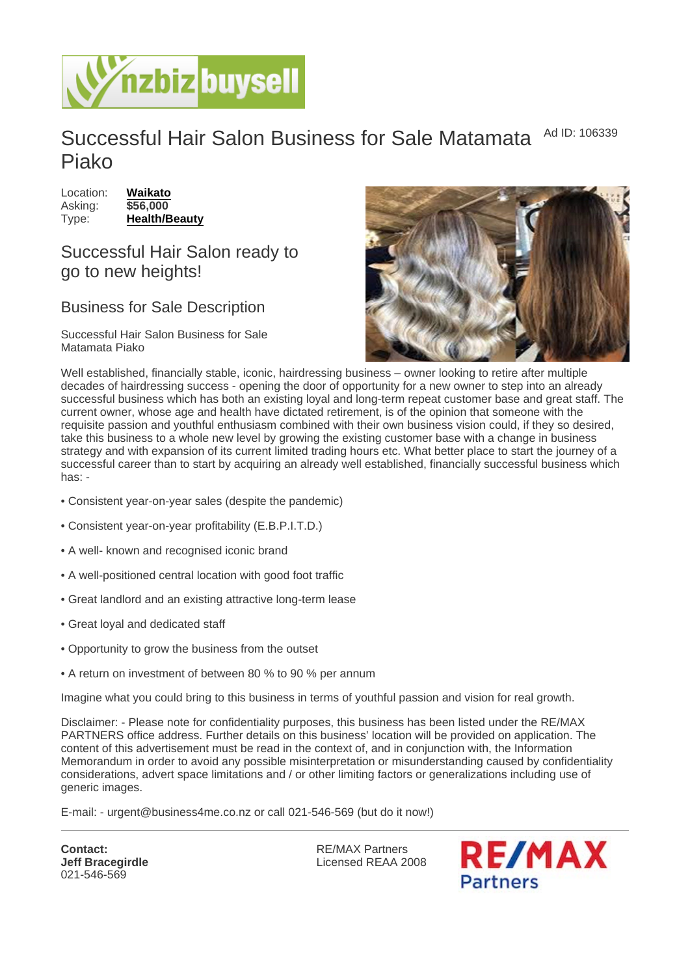## Successful Hair Salon Business for Sale Matamata Piako Ad ID: 106339

| Location: | Waikato       |
|-----------|---------------|
| Asking:   | \$56,000      |
| Type:     | Health/Beauty |

Successful Hair Salon ready to go to new heights!

## Business for Sale Description

Successful Hair Salon Business for Sale Matamata Piako

Well established, financially stable, iconic, hairdressing business – owner looking to retire after multiple decades of hairdressing success - opening the door of opportunity for a new owner to step into an already successful business which has both an existing loyal and long-term repeat customer base and great staff. The current owner, whose age and health have dictated retirement, is of the opinion that someone with the requisite passion and youthful enthusiasm combined with their own business vision could, if they so desired, take this business to a whole new level by growing the existing customer base with a change in business strategy and with expansion of its current limited trading hours etc. What better place to start the journey of a successful career than to start by acquiring an already well established, financially successful business which has: -

- Consistent year-on-year sales (despite the pandemic)
- Consistent year-on-year profitability (E.B.P.I.T.D.)
- A well- known and recognised iconic brand
- A well-positioned central location with good foot traffic
- Great landlord and an existing attractive long-term lease
- Great loyal and dedicated staff
- Opportunity to grow the business from the outset
- A return on investment of between 80 % to 90 % per annum

Imagine what you could bring to this business in terms of youthful passion and vision for real growth.

Disclaimer: - Please note for confidentiality purposes, this business has been listed under the RE/MAX PARTNERS office address. Further details on this business' location will be provided on application. The content of this advertisement must be read in the context of, and in conjunction with, the Information Memorandum in order to avoid any possible misinterpretation or misunderstanding caused by confidentiality considerations, advert space limitations and / or other limiting factors or generalizations including use of generic images.

E-mail: - urgent@business4me.co.nz or call 021-546-569 (but do it now!)

Contact: Jeff Bracegirdle 021-546-569

RE/MAX Partners Licensed REAA 2008